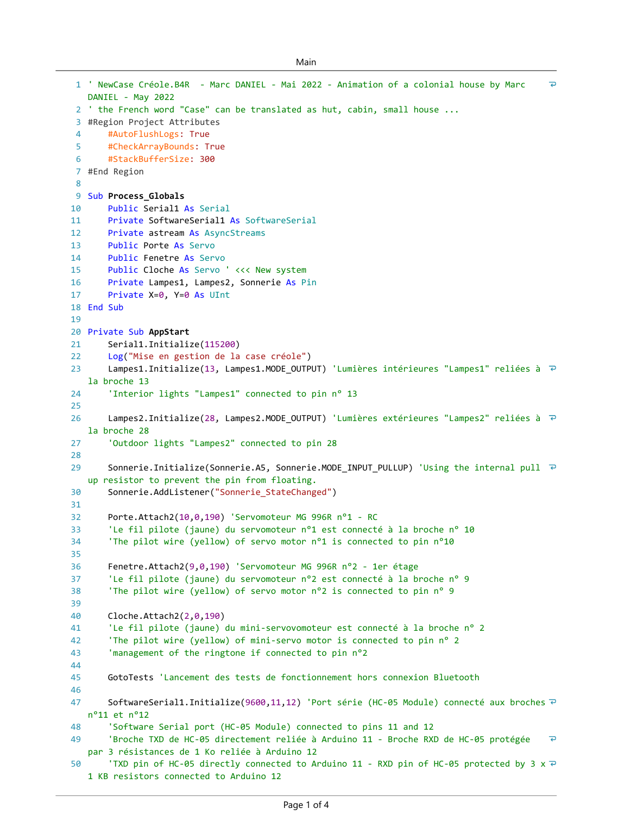```
Main
```

```
\overline{P}' NewCase Créole.B4R - Marc DANIEL - Mai 2022 - Animation of a colonial house by Marc 
1
   DANIEL - May 2022
 2 ' the French word "Case" can be translated as hut, cabin, small house ...
 #Region Project Attributes
3
 \Delta#AutoFlushLogs: True
 5
       #CheckArrayBounds: True
       #StackBufferSize: 300
 6
 #End Region
7
 8
 9 Sub Process_Globals
10
       Public Serial1 As Serial
       Private SoftwareSerial1 As SoftwareSerial
11
12
       Private astream As AsyncStreams
       Public Porte As Servo
13
14
       Public Fenetre As Servo
15
       Public Cloche As Servo ' <<< New system
       Private Lampes1, Lampes2, Sonnerie As Pin
16
       Private X=0, Y=0 As UInt
17
18 End Sub
19
20 Private Sub AppStart
21
       Serial1.Initialize(115200)
22Log("Mise en gestion de la case créole")
23
       Lampes1.Initialize(13, Lampes1.MODE_OUTPUT) 'Lumières intérieures "Lampes1" reliées à ₽
   la broche 13
24
        'Interior lights "Lampes1" connected to pin n° 13
25
       Lampes2.Initialize(28, Lampes2.MODE_OUTPUT) 'Lumières extérieures "Lampes2" reliées à <sup>₽</sup>
26
   la broche 28
       'Outdoor lights "Lampes2" connected to pin 28
27
28
29
       Sonnerie.Initialize(Sonnerie.A5, Sonnerie.MODE_INPUT_PULLUP) 'Using the internal pull <sup>₽</sup>
   up resistor to prevent the pin from floating.
30
       Sonnerie.AddListener("Sonnerie_StateChanged")
31
32
       Porte.Attach2(10,0,190) 'Servomoteur MG 996R n°1 - RC
33
       'Le fil pilote (jaune) du servomoteur n°1 est connecté à la broche n° 10
34
        'The pilot wire (yellow) of servo motor n°1 is connected to pin n°10
35
       Fenetre.Attach2(9,0,190) 'Servomoteur MG 996R n°2 - 1er étage
36
37
        'Le fil pilote (jaune) du servomoteur n°2 est connecté à la broche n° 9
        'The pilot wire (yellow) of servo motor n°2 is connected to pin n° 9
38
39
40
       Cloche.Attach2(2,0,190)
41
        'Le fil pilote (jaune) du mini-servovomoteur est connecté à la broche n° 2
42
        'The pilot wire (yellow) of mini-servo motor is connected to pin n° 2
43
        'management of the ringtone if connected to pin n°2
44
45
       GotoTests 'Lancement des tests de fonctionnement hors connexion Bluetooth
46
       SoftwareSerial1.Initialize(9600,11,12) 'Port série (HC-05 Module) connecté aux broches \overline{P}47
   n°11 et n°12
48
        'Software Serial port (HC-05 Module) connected to pins 11 and 12
49
        'Broche TXD de HC-05 directement reliée à Arduino 11 - Broche RXD de HC-05 protégée 
                                                                                                  \overline{P}par 3 résistances de 1 Ko reliée à Arduino 12
        'TXD pin of HC-05 directly connected to Arduino 11 - RXD pin of HC-05 protected by 3 x \neq50
   1 KB resistors connected to Arduino 12
```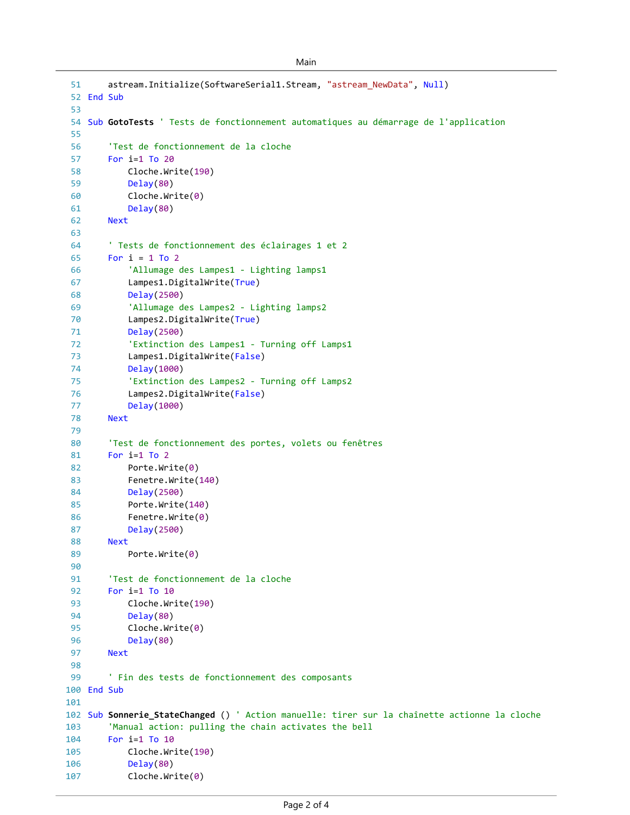```
Main
```

```
astream.Initialize(SoftwareSerial1.Stream, "astream_NewData", Null)
 52 End Sub
 54 Sub GotoTests ' Tests de fonctionnement automatiques au démarrage de l'application
         'Test de fonctionnement de la cloche
        For i=1 To 20
            Cloche.Write(190)
            Delay(80)
            Cloche.Write(0)
            Delay(80)
        Next
         ' Tests de fonctionnement des éclairages 1 et 2
        For i = 1 To 2
            'Allumage des Lampes1 - Lighting lamps1
            Lampes1.DigitalWrite(True)
            Delay(2500)
            'Allumage des Lampes2 - Lighting lamps2
            Lampes2.DigitalWrite(True)
            Delay(2500)
            'Extinction des Lampes1 - Turning off Lamps1
            Lampes1.DigitalWrite(False)
            Delay(1000)
            'Extinction des Lampes2 - Turning off Lamps2
            Lampes2.DigitalWrite(False)
            Delay(1000)
        Next
         'Test de fonctionnement des portes, volets ou fenêtres
        For i=1 To 2
            Porte.Write(0)
            Fenetre.Write(140)
            Delay(2500)
            Porte.Write(140)
            Fenetre.Write(0)
            Delay(2500)
        Next
            Porte.Write(0)
         'Test de fonctionnement de la cloche
        For i=1 To 10
            Cloche.Write(190)
            Delay(80)
            Cloche.Write(0)
            Delay(80)
        Next
         ' Fin des tests de fonctionnement des composants
100 End Sub
102 Sub Sonnerie_StateChanged () ' Action manuelle: tirer sur la chaînette actionne la cloche
         'Manual action: pulling the chain activates the bell
        For i=1 To 10
            Cloche.Write(190)
            Delay(80)
            Cloche.Write(0)
51
53
55
 56
 57
 58
 59
 60
 61
 62
 63
 64
 65
 66
 67
 68
 69
 70
 71
 72
 73
 74
 75
 76
 77
 78
 79
 80
 81
 82
 83
 84
 85
 86
 87
 88
 89
 90
 91
 92
93
94
95
 96
97
98
99
101
103
104
105
106
107
```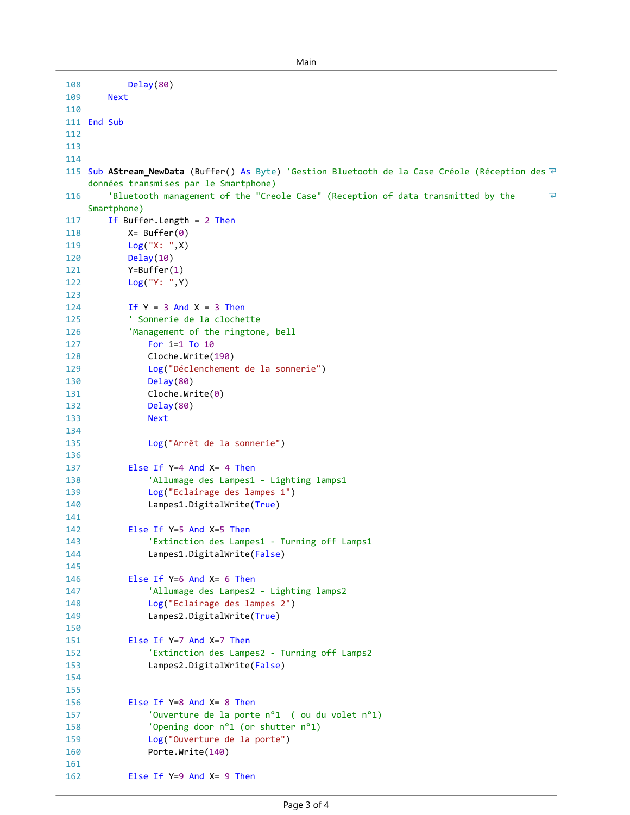```
108
            Delay(80)
109
        Next
110
111 End Sub
112
113
114
115 Sub AStream_NewData (Buffer() As Byte) 'Gestion Bluetooth de la Case Créole (Réception des ᠯ
    données transmises par le Smartphone)
         'Bluetooth management of the "Creole Case" (Reception of data transmitted by the 
116
                                                                                                    \overline{\bullet}Smartphone)
117
        If Buffer.Length = 2 Then
118
            X = Buffer(0)119
            Log("X: ",X)
120
            Delay(10)
121
            Y=Buffer(1)
122
            Log("Y: ",Y)
123
124
            If Y = 3 And X = 3 Then
             ' Sonnerie de la clochette 
125
126
             'Management of the ringtone, bell 
127
                For i=1 To 10
128
                Cloche.Write(190)
129
                 Log("Déclenchement de la sonnerie")
130
                Delay(80)
131
                Cloche.Write(0)
132
                Delay(80)
133
                Next
134
                 Log("Arrêt de la sonnerie")
135
136
             Else If Y=4 And X= 4 Then
137
                 'Allumage des Lampes1 - Lighting lamps1
138
139
                 Log("Eclairage des lampes 1")
140
                 Lampes1.DigitalWrite(True)
141
142
             Else If Y=5 And X=5 Then
143
                 'Extinction des Lampes1 - Turning off Lamps1
144
                 Lampes1.DigitalWrite(False)
145
146
             Else If Y=6 And X= 6 Then
                 'Allumage des Lampes2 - Lighting lamps2
147
148
                 Log("Eclairage des lampes 2")
149
                 Lampes2.DigitalWrite(True)
150
151
             Else If Y=7 And X=7 Then
                 'Extinction des Lampes2 - Turning off Lamps2
152
153
                 Lampes2.DigitalWrite(False)
154
155
             Else If Y=8 And X= 8 Then
156
                 'Ouverture de la porte n°1 ( ou du volet n°1)
157
                 'Opening door n°1 (or shutter n°1)
158
159
                 Log("Ouverture de la porte")
160
                 Porte.Write(140)
161
             Else If Y=9 And X= 9 Then
162
```